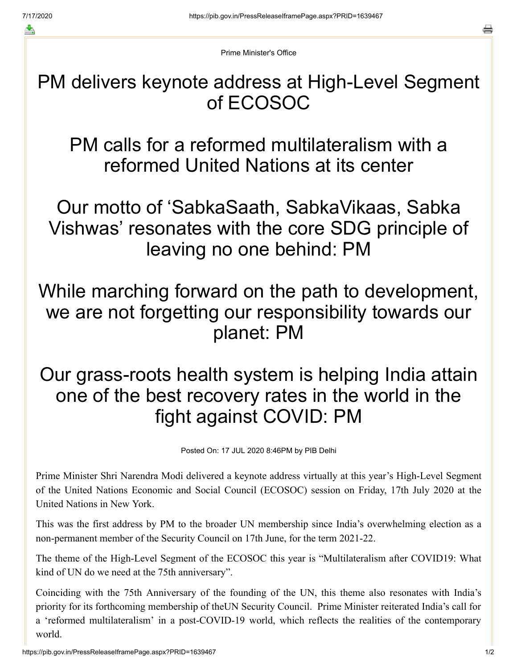≛

e

Prime Minister's Office

PM delivers keynote address at High-Level Segment of ECOSOC

PM calls for a reformed multilateralism with a reformed United Nations at its center

Our motto of 'SabkaSaath, SabkaVikaas, Sabka Vishwas' resonates with the core SDG principle of leaving no one behind: PM

## While marching forward on the path to development, we are not forgetting our responsibility towards our planet: PM

## Our grass-roots health system is helping India attain one of the best recovery rates in the world in the fight against COVID: PM

Posted On: 17 JUL 2020 8:46PM by PIB Delhi

Prime Minister Shri Narendra Modi delivered a keynote address virtually at this year's High-Level Segment of the United Nations Economic and Social Council (ECOSOC) session on Friday, 17th July 2020 at the United Nations in New York.

This was the first address by PM to the broader UN membership since India's overwhelming election as a non-permanent member of the Security Council on 17th June, for the term 2021-22.

The theme of the High-Level Segment of the ECOSOC this year is "Multilateralism after COVID19: What kind of UN do we need at the 75th anniversary".

Coinciding with the 75th Anniversary of the founding of the UN, this theme also resonates with India's priority for its forthcoming membership of theUN Security Council. Prime Minister reiterated India's call for a 'reformed multilateralism' in a post-COVID-19 world, which reflects the realities of the contemporary world.